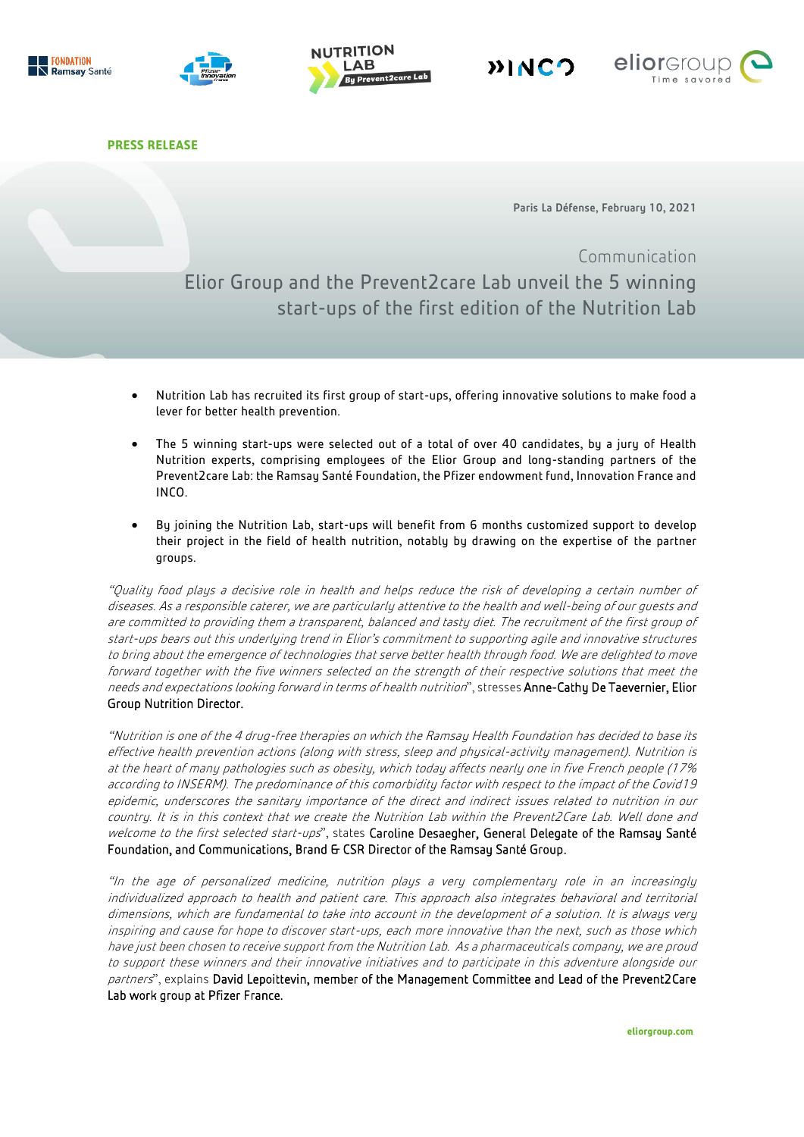









**PRESS RELEASE**

Paris La Défense, February 10, 2021

# Communication Elior Group and the Prevent2care Lab unveil the 5 winning start-ups of the first edition of the Nutrition Lab

- Nutrition Lab has recruited its first group of start-ups, offering innovative solutions to make food a lever for better health prevention.
- The 5 winning start-ups were selected out of a total of over 40 candidates, by a jury of Health Nutrition experts, comprising employees of the Elior Group and long-standing partners of the Prevent2care Lab: the Ramsay Santé Foundation, the Pfizer endowment fund, Innovation France and INCO.
- By joining the Nutrition Lab, start-ups will benefit from 6 months customized support to develop their project in the field of health nutrition, notably by drawing on the expertise of the partner groups.

"Quality food plays a decisive role in health and helps reduce the risk of developing a certain number of diseases. As a responsible caterer, we are particularly attentive to the health and well-being of our guests and are committed to providing them a transparent, balanced and tasty diet. The recruitment of the first group of start-ups bears out this underlying trend in Elior's commitment to supporting agile and innovative structures to bring about the emergence of technologies that serve better health through food. We are delighted to move forward together with the five winners selected on the strength of their respective solutions that meet the needs and expectations looking forward in terms of health nutrition", stresses Anne-Cathy De Taevernier, Elior Group Nutrition Director.

"Nutrition is one of the 4 drug-free therapies on which the Ramsay Health Foundation has decided to base its effective health prevention actions (along with stress, sleep and physical-activity management). Nutrition is at the heart of many pathologies such as obesity, which today affects nearly one in five French people (17% according to INSERM). The predominance of this comorbidity factor with respect to the impact of the Covid19 epidemic, underscores the sanitary importance of the direct and indirect issues related to nutrition in our country. It is in this context that we create the Nutrition Lab within the Prevent2Care Lab. Well done and welcome to the first selected start-ups", states Caroline Desaegher, General Delegate of the Ramsay Santé Foundation, and Communications, Brand G CSR Director of the Ramsay Santé Group.

"In the age of personalized medicine, nutrition plays a very complementary role in an increasingly individualized approach to health and patient care. This approach also integrates behavioral and territorial dimensions, which are fundamental to take into account in the development of a solution. It is always very inspiring and cause for hope to discover start-ups, each more innovative than the next, such as those which have just been chosen to receive support from the Nutrition Lab. As a pharmaceuticals company, we are proud to support these winners and their innovative initiatives and to participate in this adventure alongside our partners", explains David Lepoittevin, member of the Management Committee and Lead of the Prevent2Care Lab work group at Pfizer France.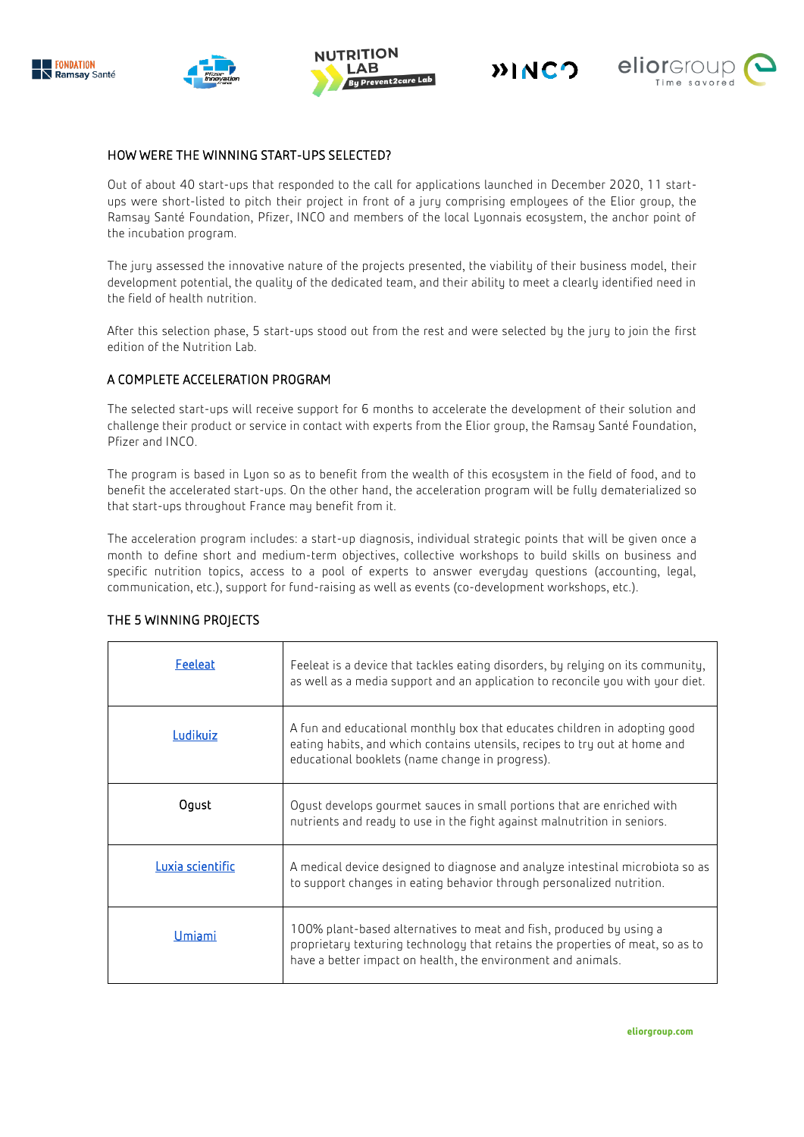









## HOW WERE THE WINNING START-UPS SELECTED?

Out of about 40 start-ups that responded to the call for applications launched in December 2020, 11 startups were short-listed to pitch their project in front of a jury comprising employees of the Elior group, the Ramsay Santé Foundation, Pfizer, INCO and members of the local Lyonnais ecosystem, the anchor point of the incubation program.

The jury assessed the innovative nature of the projects presented, the viability of their business model, their development potential, the quality of the dedicated team, and their ability to meet a clearly identified need in the field of health nutrition.

After this selection phase, 5 start-ups stood out from the rest and were selected by the jury to join the first edition of the Nutrition Lab.

## A COMPLETE ACCELERATION PROGRAM

The selected start-ups will receive support for 6 months to accelerate the development of their solution and challenge their product or service in contact with experts from the Elior group, the Ramsay Santé Foundation, Pfizer and INCO.

The program is based in Lyon so as to benefit from the wealth of this ecosystem in the field of food, and to benefit the accelerated start-ups. On the other hand, the acceleration program will be fully dematerialized so that start-ups throughout France may benefit from it.

The acceleration program includes: a start-up diagnosis, individual strategic points that will be given once a month to define short and medium-term objectives, collective workshops to build skills on business and specific nutrition topics, access to a pool of experts to answer everyday questions (accounting, legal, communication, etc.), support for fund-raising as well as events (co-development workshops, etc.).

| Feeleat          | Feeleat is a device that tackles eating disorders, by relying on its community,<br>as well as a media support and an application to reconcile you with your diet.                                                     |
|------------------|-----------------------------------------------------------------------------------------------------------------------------------------------------------------------------------------------------------------------|
| Ludikuiz         | A fun and educational monthly box that educates children in adopting good<br>eating habits, and which contains utensils, recipes to try out at home and<br>educational booklets (name change in progress).            |
| Oqust            | Oqust develops gourmet sauces in small portions that are enriched with<br>nutrients and ready to use in the fight against malnutrition in seniors.                                                                    |
| Luxia scientific | A medical device designed to diagnose and analyze intestinal microbiota so as<br>to support changes in eating behavior through personalized nutrition.                                                                |
| Umiami           | 100% plant-based alternatives to meat and fish, produced by using a<br>proprietary texturing technology that retains the properties of meat, so as to<br>have a better impact on health, the environment and animals. |

## THE 5 WINNING PROJECTS